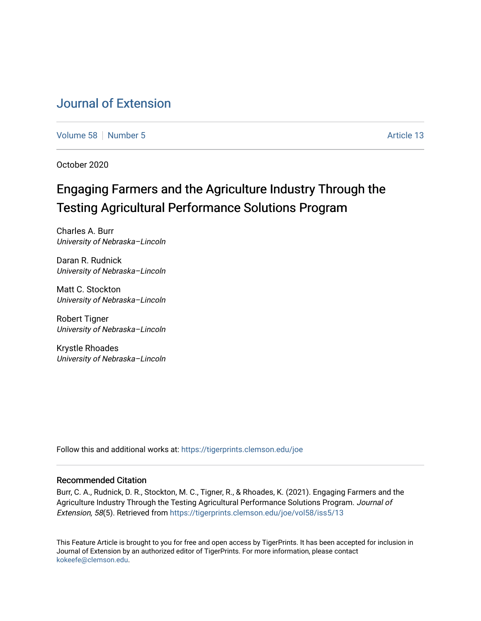## [Journal of Extension](https://tigerprints.clemson.edu/joe)

[Volume 58](https://tigerprints.clemson.edu/joe/vol58) [Number 5](https://tigerprints.clemson.edu/joe/vol58/iss5) Article 13

October 2020

# Engaging Farmers and the Agriculture Industry Through the Testing Agricultural Performance Solutions Program

Charles A. Burr University of Nebraska–Lincoln

Daran R. Rudnick University of Nebraska–Lincoln

Matt C. Stockton University of Nebraska–Lincoln

Robert Tigner University of Nebraska–Lincoln

Krystle Rhoades University of Nebraska–Lincoln

Follow this and additional works at: [https://tigerprints.clemson.edu/joe](https://tigerprints.clemson.edu/joe?utm_source=tigerprints.clemson.edu%2Fjoe%2Fvol58%2Fiss5%2F13&utm_medium=PDF&utm_campaign=PDFCoverPages) 

#### Recommended Citation

Burr, C. A., Rudnick, D. R., Stockton, M. C., Tigner, R., & Rhoades, K. (2021). Engaging Farmers and the Agriculture Industry Through the Testing Agricultural Performance Solutions Program. Journal of Extension, 58(5). Retrieved from [https://tigerprints.clemson.edu/joe/vol58/iss5/13](https://tigerprints.clemson.edu/joe/vol58/iss5/13?utm_source=tigerprints.clemson.edu%2Fjoe%2Fvol58%2Fiss5%2F13&utm_medium=PDF&utm_campaign=PDFCoverPages) 

This Feature Article is brought to you for free and open access by TigerPrints. It has been accepted for inclusion in Journal of Extension by an authorized editor of TigerPrints. For more information, please contact [kokeefe@clemson.edu](mailto:kokeefe@clemson.edu).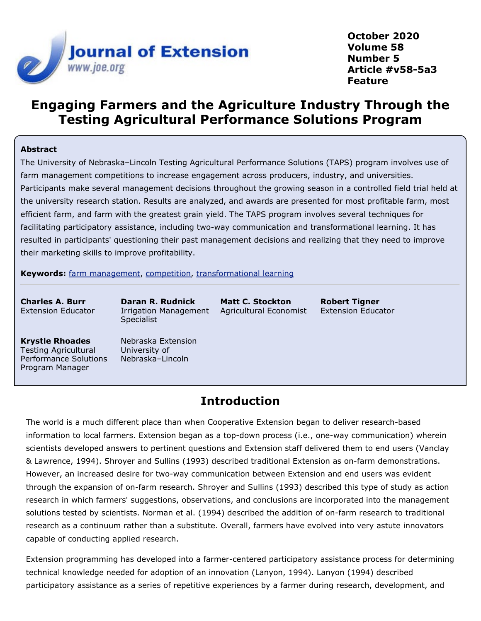

**October 2020 Volume 58 Number 5 Article #v58-5a3 Feature**

## **Engaging Farmers and the Agriculture Industry Through the Testing Agricultural Performance Solutions Program**

#### **Abstract**

The University of Nebraska–Lincoln Testing Agricultural Performance Solutions (TAPS) program involves use of farm management competitions to increase engagement across producers, industry, and universities. Participants make several management decisions throughout the growing season in a controlled field trial held at the university research station. Results are analyzed, and awards are presented for most profitable farm, most efficient farm, and farm with the greatest grain yield. The TAPS program involves several techniques for facilitating participatory assistance, including two-way communication and transformational learning. It has resulted in participants' questioning their past management decisions and realizing that they need to improve their marketing skills to improve profitability.

**Keywords:** [farm management](https://joe.org/search-results.php?cx=010816128502272931564%3Aopgn_voyplk&cof=FORID%3A10&ie=UTF-8&q=farm management&sa=Search+JOE#1039\), [competition](https://joe.org/search-results.php?cx=010816128502272931564%3Aopgn_voyplk&cof=FORID%3A10&ie=UTF-8&q=competition&sa=Search+JOE#1039\), [transformational learning](https://joe.org/search-results.php?cx=010816128502272931564%3Aopgn_voyplk&cof=FORID%3A10&ie=UTF-8&q=transformational learning&sa=Search+JOE#1039)

**Charles A. Burr** Extension Educator **Daran R. Rudnick** Irrigation Management **Specialist** 

**Matt C. Stockton** Agricultural Economist **Robert Tigner** Extension Educator

**Krystle Rhoades** Testing Agricultural Performance Solutions Program Manager

Nebraska Extension University of Nebraska–Lincoln

### **Introduction**

The world is a much different place than when Cooperative Extension began to deliver research-based information to local farmers. Extension began as a top-down process (i.e., one-way communication) wherein scientists developed answers to pertinent questions and Extension staff delivered them to end users (Vanclay & Lawrence, 1994). Shroyer and Sullins (1993) described traditional Extension as on-farm demonstrations. However, an increased desire for two-way communication between Extension and end users was evident through the expansion of on-farm research. Shroyer and Sullins (1993) described this type of study as action research in which farmers' suggestions, observations, and conclusions are incorporated into the management solutions tested by scientists. Norman et al. (1994) described the addition of on-farm research to traditional research as a continuum rather than a substitute. Overall, farmers have evolved into very astute innovators capable of conducting applied research.

Extension programming has developed into a farmer-centered participatory assistance process for determining technical knowledge needed for adoption of an innovation (Lanyon, 1994). Lanyon (1994) described participatory assistance as a series of repetitive experiences by a farmer during research, development, and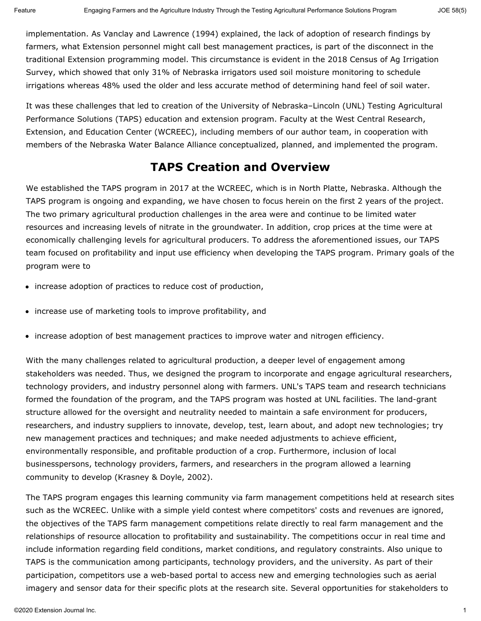implementation. As Vanclay and Lawrence (1994) explained, the lack of adoption of research findings by farmers, what Extension personnel might call best management practices, is part of the disconnect in the traditional Extension programming model. This circumstance is evident in the 2018 Census of Ag Irrigation Survey, which showed that only 31% of Nebraska irrigators used soil moisture monitoring to schedule irrigations whereas 48% used the older and less accurate method of determining hand feel of soil water.

It was these challenges that led to creation of the University of Nebraska–Lincoln (UNL) Testing Agricultural Performance Solutions (TAPS) education and extension program. Faculty at the West Central Research, Extension, and Education Center (WCREEC), including members of our author team, in cooperation with members of the Nebraska Water Balance Alliance conceptualized, planned, and implemented the program.

## **TAPS Creation and Overview**

We established the TAPS program in 2017 at the WCREEC, which is in North Platte, Nebraska. Although the TAPS program is ongoing and expanding, we have chosen to focus herein on the first 2 years of the project. The two primary agricultural production challenges in the area were and continue to be limited water resources and increasing levels of nitrate in the groundwater. In addition, crop prices at the time were at economically challenging levels for agricultural producers. To address the aforementioned issues, our TAPS team focused on profitability and input use efficiency when developing the TAPS program. Primary goals of the program were to

- increase adoption of practices to reduce cost of production,
- increase use of marketing tools to improve profitability, and
- increase adoption of best management practices to improve water and nitrogen efficiency.

With the many challenges related to agricultural production, a deeper level of engagement among stakeholders was needed. Thus, we designed the program to incorporate and engage agricultural researchers, technology providers, and industry personnel along with farmers. UNL's TAPS team and research technicians formed the foundation of the program, and the TAPS program was hosted at UNL facilities. The land-grant structure allowed for the oversight and neutrality needed to maintain a safe environment for producers, researchers, and industry suppliers to innovate, develop, test, learn about, and adopt new technologies; try new management practices and techniques; and make needed adjustments to achieve efficient, environmentally responsible, and profitable production of a crop. Furthermore, inclusion of local businesspersons, technology providers, farmers, and researchers in the program allowed a learning community to develop (Krasney & Doyle, 2002).

The TAPS program engages this learning community via farm management competitions held at research sites such as the WCREEC. Unlike with a simple yield contest where competitors' costs and revenues are ignored, the objectives of the TAPS farm management competitions relate directly to real farm management and the relationships of resource allocation to profitability and sustainability. The competitions occur in real time and include information regarding field conditions, market conditions, and regulatory constraints. Also unique to TAPS is the communication among participants, technology providers, and the university. As part of their participation, competitors use a web-based portal to access new and emerging technologies such as aerial imagery and sensor data for their specific plots at the research site. Several opportunities for stakeholders to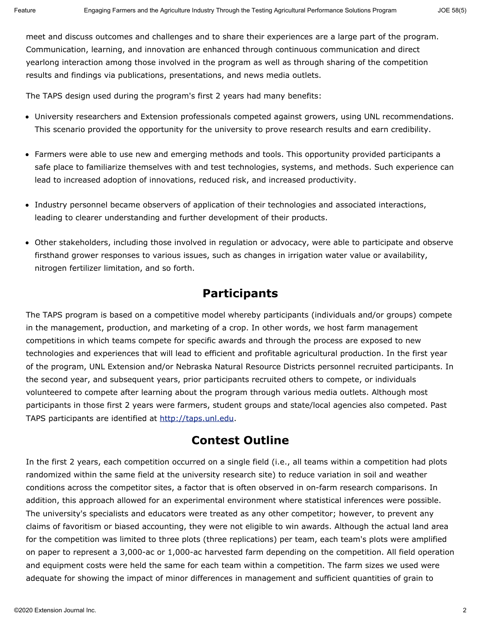meet and discuss outcomes and challenges and to share their experiences are a large part of the program. Communication, learning, and innovation are enhanced through continuous communication and direct yearlong interaction among those involved in the program as well as through sharing of the competition results and findings via publications, presentations, and news media outlets.

The TAPS design used during the program's first 2 years had many benefits:

- University researchers and Extension professionals competed against growers, using UNL recommendations. This scenario provided the opportunity for the university to prove research results and earn credibility.
- Farmers were able to use new and emerging methods and tools. This opportunity provided participants a safe place to familiarize themselves with and test technologies, systems, and methods. Such experience can lead to increased adoption of innovations, reduced risk, and increased productivity.
- Industry personnel became observers of application of their technologies and associated interactions, leading to clearer understanding and further development of their products.
- Other stakeholders, including those involved in regulation or advocacy, were able to participate and observe firsthand grower responses to various issues, such as changes in irrigation water value or availability, nitrogen fertilizer limitation, and so forth.

#### **Participants**

The TAPS program is based on a competitive model whereby participants (individuals and/or groups) compete in the management, production, and marketing of a crop. In other words, we host farm management competitions in which teams compete for specific awards and through the process are exposed to new technologies and experiences that will lead to efficient and profitable agricultural production. In the first year of the program, UNL Extension and/or Nebraska Natural Resource Districts personnel recruited participants. In the second year, and subsequent years, prior participants recruited others to compete, or individuals volunteered to compete after learning about the program through various media outlets. Although most participants in those first 2 years were farmers, student groups and state/local agencies also competed. Past TAPS participants are identified at [http://taps.unl.edu](http://taps.unl.edu/).

#### **Contest Outline**

In the first 2 years, each competition occurred on a single field (i.e., all teams within a competition had plots randomized within the same field at the university research site) to reduce variation in soil and weather conditions across the competitor sites, a factor that is often observed in on-farm research comparisons. In addition, this approach allowed for an experimental environment where statistical inferences were possible. The university's specialists and educators were treated as any other competitor; however, to prevent any claims of favoritism or biased accounting, they were not eligible to win awards. Although the actual land area for the competition was limited to three plots (three replications) per team, each team's plots were amplified on paper to represent a 3,000-ac or 1,000-ac harvested farm depending on the competition. All field operation and equipment costs were held the same for each team within a competition. The farm sizes we used were adequate for showing the impact of minor differences in management and sufficient quantities of grain to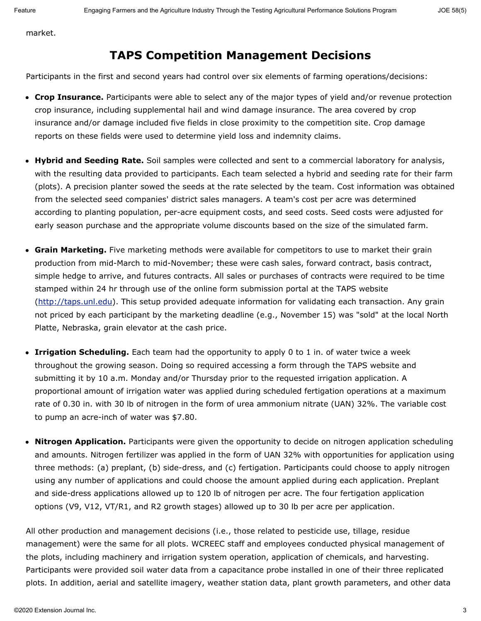market.

### **TAPS Competition Management Decisions**

Participants in the first and second years had control over six elements of farming operations/decisions:

- **Crop Insurance.** Participants were able to select any of the major types of yield and/or revenue protection crop insurance, including supplemental hail and wind damage insurance. The area covered by crop insurance and/or damage included five fields in close proximity to the competition site. Crop damage reports on these fields were used to determine yield loss and indemnity claims.
- **Hybrid and Seeding Rate.** Soil samples were collected and sent to a commercial laboratory for analysis, with the resulting data provided to participants. Each team selected a hybrid and seeding rate for their farm (plots). A precision planter sowed the seeds at the rate selected by the team. Cost information was obtained from the selected seed companies' district sales managers. A team's cost per acre was determined according to planting population, per-acre equipment costs, and seed costs. Seed costs were adjusted for early season purchase and the appropriate volume discounts based on the size of the simulated farm.
- **Grain Marketing.** Five marketing methods were available for competitors to use to market their grain production from mid-March to mid-November; these were cash sales, forward contract, basis contract, simple hedge to arrive, and futures contracts. All sales or purchases of contracts were required to be time stamped within 24 hr through use of the online form submission portal at the TAPS website [\(http://taps.unl.edu](http://taps.unl.edu/)). This setup provided adequate information for validating each transaction. Any grain not priced by each participant by the marketing deadline (e.g., November 15) was "sold" at the local North Platte, Nebraska, grain elevator at the cash price.
- **Irrigation Scheduling.** Each team had the opportunity to apply 0 to 1 in. of water twice a week throughout the growing season. Doing so required accessing a form through the TAPS website and submitting it by 10 a.m. Monday and/or Thursday prior to the requested irrigation application. A proportional amount of irrigation water was applied during scheduled fertigation operations at a maximum rate of 0.30 in. with 30 lb of nitrogen in the form of urea ammonium nitrate (UAN) 32%. The variable cost to pump an acre-inch of water was \$7.80.
- **Nitrogen Application.** Participants were given the opportunity to decide on nitrogen application scheduling and amounts. Nitrogen fertilizer was applied in the form of UAN 32% with opportunities for application using three methods: (a) preplant, (b) side-dress, and (c) fertigation. Participants could choose to apply nitrogen using any number of applications and could choose the amount applied during each application. Preplant and side-dress applications allowed up to 120 lb of nitrogen per acre. The four fertigation application options (V9, V12, VT/R1, and R2 growth stages) allowed up to 30 lb per acre per application.

All other production and management decisions (i.e., those related to pesticide use, tillage, residue management) were the same for all plots. WCREEC staff and employees conducted physical management of the plots, including machinery and irrigation system operation, application of chemicals, and harvesting. Participants were provided soil water data from a capacitance probe installed in one of their three replicated plots. In addition, aerial and satellite imagery, weather station data, plant growth parameters, and other data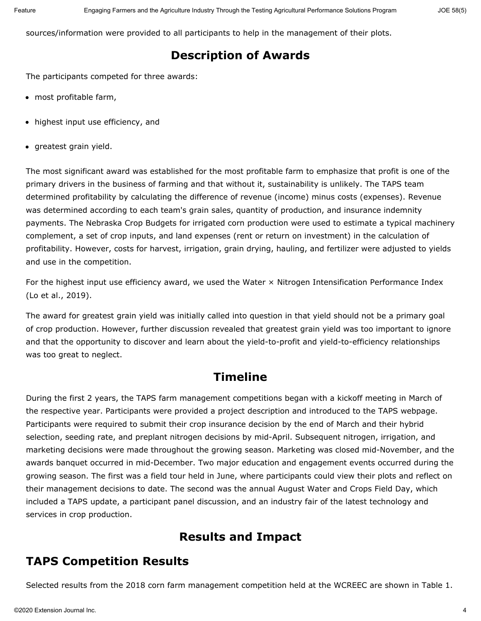sources/information were provided to all participants to help in the management of their plots.

## **Description of Awards**

The participants competed for three awards:

- most profitable farm,
- highest input use efficiency, and
- greatest grain yield.

The most significant award was established for the most profitable farm to emphasize that profit is one of the primary drivers in the business of farming and that without it, sustainability is unlikely. The TAPS team determined profitability by calculating the difference of revenue (income) minus costs (expenses). Revenue was determined according to each team's grain sales, quantity of production, and insurance indemnity payments. The Nebraska Crop Budgets for irrigated corn production were used to estimate a typical machinery complement, a set of crop inputs, and land expenses (rent or return on investment) in the calculation of profitability. However, costs for harvest, irrigation, grain drying, hauling, and fertilizer were adjusted to yields and use in the competition.

For the highest input use efficiency award, we used the Water  $\times$  Nitrogen Intensification Performance Index (Lo et al., 2019).

The award for greatest grain yield was initially called into question in that yield should not be a primary goal of crop production. However, further discussion revealed that greatest grain yield was too important to ignore and that the opportunity to discover and learn about the yield-to-profit and yield-to-efficiency relationships was too great to neglect.

## **Timeline**

During the first 2 years, the TAPS farm management competitions began with a kickoff meeting in March of the respective year. Participants were provided a project description and introduced to the TAPS webpage. Participants were required to submit their crop insurance decision by the end of March and their hybrid selection, seeding rate, and preplant nitrogen decisions by mid-April. Subsequent nitrogen, irrigation, and marketing decisions were made throughout the growing season. Marketing was closed mid-November, and the awards banquet occurred in mid-December. Two major education and engagement events occurred during the growing season. The first was a field tour held in June, where participants could view their plots and reflect on their management decisions to date. The second was the annual August Water and Crops Field Day, which included a TAPS update, a participant panel discussion, and an industry fair of the latest technology and services in crop production.

### **Results and Impact**

### **TAPS Competition Results**

Selected results from the 2018 corn farm management competition held at the WCREEC are shown in Table 1.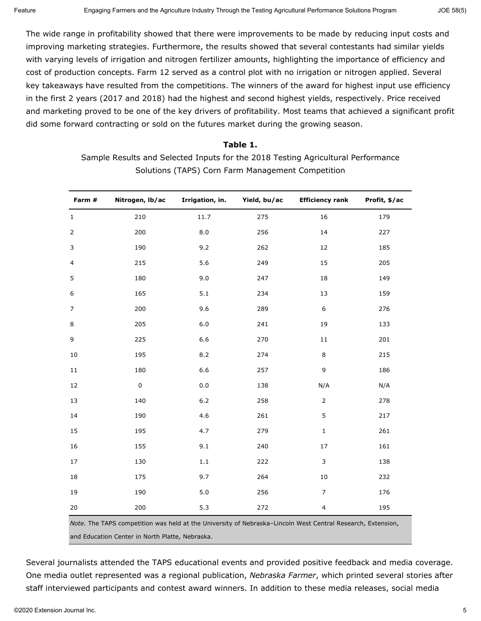The wide range in profitability showed that there were improvements to be made by reducing input costs and improving marketing strategies. Furthermore, the results showed that several contestants had similar yields with varying levels of irrigation and nitrogen fertilizer amounts, highlighting the importance of efficiency and cost of production concepts. Farm 12 served as a control plot with no irrigation or nitrogen applied. Several key takeaways have resulted from the competitions. The winners of the award for highest input use efficiency in the first 2 years (2017 and 2018) had the highest and second highest yields, respectively. Price received and marketing proved to be one of the key drivers of profitability. Most teams that achieved a significant profit did some forward contracting or sold on the futures market during the growing season.

#### **Table 1.** Sample Results and Selected Inputs for the 2018 Testing Agricultural Performance Solutions (TAPS) Corn Farm Management Competition

| Farm #         | Nitrogen, lb/ac | Irrigation, in. | Yield, bu/ac                    | <b>Efficiency rank</b>                          | Profit, \$/ac        |
|----------------|-----------------|-----------------|---------------------------------|-------------------------------------------------|----------------------|
| $\mathbf{1}$   | 210             | 11.7            | 275                             | 16                                              | 179                  |
| 2              | 200             | $_{\rm 8.0}$    | 256                             | $14\,$                                          | 227                  |
| 3              | 190             | 9.2             | 262                             | 12                                              | 185                  |
| $\overline{a}$ | 215             | 5.6             | 249                             | 15                                              | 205                  |
| 5              | 180             | 9.0             | 247                             | 18                                              | 149                  |
| 6              | 165             | 5.1             | 234                             | 13                                              | 159                  |
| $\overline{7}$ | 200             | 9.6             | 289                             | $\boldsymbol{6}$                                | 276                  |
| $\,8\,$        | 205             | $6.0\,$         | 241                             | 19                                              | 133                  |
| 9              | 225             | 6.6             | 270                             | $11\,$                                          | 201                  |
| 10             | 195             | 8.2             | 274                             | 8                                               | 215                  |
| $11\,$         | 180             | 6.6             | 257                             | $\mathsf 9$                                     | 186                  |
| 12             | $\pmb{0}$       | $0.0\,$         | 138                             | N/A                                             | N/A                  |
| 13             | 140             | $6.2\,$         | 258                             | $\mathsf{2}$                                    | 278                  |
| 14             | 190             | 4.6             | 261                             | 5                                               | 217                  |
| 15             | 195             | 4.7             | 279                             | $\mathbf 1$                                     | 261                  |
| 16             | 155             | 9.1             | 240                             | $17\,$                                          | 161                  |
| 17             | 130             | $1.1\,$         | 222                             | $\mathsf 3$                                     | 138                  |
| 18             | 175             | 9.7             | 264                             | $10\,$                                          | 232                  |
| 19             | 190             | 5.0             | 256                             | $\overline{7}$                                  | 176                  |
| 20             | 200             | 5.3<br>.        | 272<br><b>Contract Contract</b> | $\overline{\mathbf{4}}$<br>$\sim$ $\sim$ $\sim$ | 195<br>$\sim$ $\sim$ |

*Note.* The TAPS competition was held at the University of Nebraska–Lincoln West Central Research, Extension, and Education Center in North Platte, Nebraska.

Several journalists attended the TAPS educational events and provided positive feedback and media coverage. One media outlet represented was a regional publication, *Nebraska Farmer*, which printed several stories after staff interviewed participants and contest award winners. In addition to these media releases, social media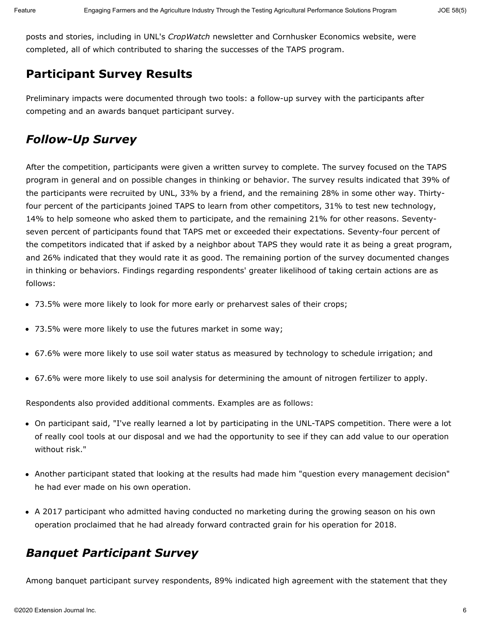posts and stories, including in UNL's *CropWatch* newsletter and Cornhusker Economics website, were completed, all of which contributed to sharing the successes of the TAPS program.

## **Participant Survey Results**

Preliminary impacts were documented through two tools: a follow-up survey with the participants after competing and an awards banquet participant survey.

# *Follow-Up Survey*

After the competition, participants were given a written survey to complete. The survey focused on the TAPS program in general and on possible changes in thinking or behavior. The survey results indicated that 39% of the participants were recruited by UNL, 33% by a friend, and the remaining 28% in some other way. Thirtyfour percent of the participants joined TAPS to learn from other competitors, 31% to test new technology, 14% to help someone who asked them to participate, and the remaining 21% for other reasons. Seventyseven percent of participants found that TAPS met or exceeded their expectations. Seventy-four percent of the competitors indicated that if asked by a neighbor about TAPS they would rate it as being a great program, and 26% indicated that they would rate it as good. The remaining portion of the survey documented changes in thinking or behaviors. Findings regarding respondents' greater likelihood of taking certain actions are as follows:

- 73.5% were more likely to look for more early or preharvest sales of their crops;
- 73.5% were more likely to use the futures market in some way;
- 67.6% were more likely to use soil water status as measured by technology to schedule irrigation; and
- 67.6% were more likely to use soil analysis for determining the amount of nitrogen fertilizer to apply.

Respondents also provided additional comments. Examples are as follows:

- On participant said, "I've really learned a lot by participating in the UNL-TAPS competition. There were a lot of really cool tools at our disposal and we had the opportunity to see if they can add value to our operation without risk."
- Another participant stated that looking at the results had made him "question every management decision" he had ever made on his own operation.
- A 2017 participant who admitted having conducted no marketing during the growing season on his own operation proclaimed that he had already forward contracted grain for his operation for 2018.

## *Banquet Participant Survey*

Among banquet participant survey respondents, 89% indicated high agreement with the statement that they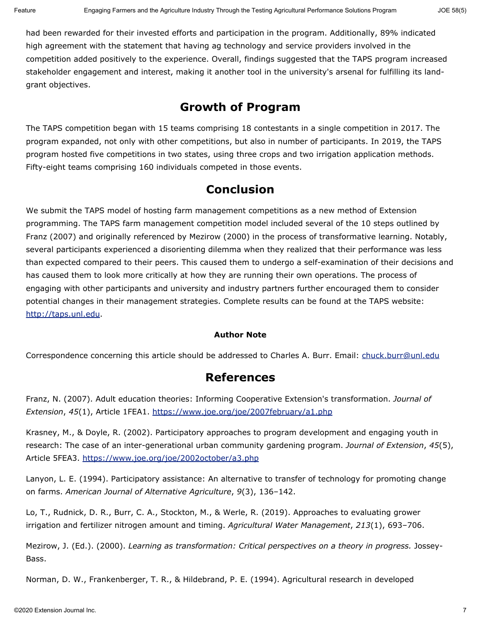had been rewarded for their invested efforts and participation in the program. Additionally, 89% indicated high agreement with the statement that having ag technology and service providers involved in the competition added positively to the experience. Overall, findings suggested that the TAPS program increased stakeholder engagement and interest, making it another tool in the university's arsenal for fulfilling its landgrant objectives.

#### **Growth of Program**

The TAPS competition began with 15 teams comprising 18 contestants in a single competition in 2017. The program expanded, not only with other competitions, but also in number of participants. In 2019, the TAPS program hosted five competitions in two states, using three crops and two irrigation application methods. Fifty-eight teams comprising 160 individuals competed in those events.

#### **Conclusion**

We submit the TAPS model of hosting farm management competitions as a new method of Extension programming. The TAPS farm management competition model included several of the 10 steps outlined by Franz (2007) and originally referenced by Mezirow (2000) in the process of transformative learning. Notably, several participants experienced a disorienting dilemma when they realized that their performance was less than expected compared to their peers. This caused them to undergo a self-examination of their decisions and has caused them to look more critically at how they are running their own operations. The process of engaging with other participants and university and industry partners further encouraged them to consider potential changes in their management strategies. Complete results can be found at the TAPS website: [http://taps.unl.edu](http://taps.unl.edu/).

#### **Author Note**

Correspondence concerning this article should be addressed to Charles A. Burr. Email: [chuck.burr@unl.edu](mailto:chuck.burr@unl.edu)

#### **References**

Franz, N. (2007). Adult education theories: Informing Cooperative Extension's transformation. *Journal of Extension*, *45*(1), Article 1FEA1.<https://www.joe.org/joe/2007february/a1.php>

Krasney, M., & Doyle, R. (2002). Participatory approaches to program development and engaging youth in research: The case of an inter-generational urban community gardening program. *Journal of Extension*, *45*(5), Article 5FEA3.<https://www.joe.org/joe/2002october/a3.php>

Lanyon, L. E. (1994). Participatory assistance: An alternative to transfer of technology for promoting change on farms. *American Journal of Alternative Agriculture*, *9*(3), 136–142.

Lo, T., Rudnick, D. R., Burr, C. A., Stockton, M., & Werle, R. (2019). Approaches to evaluating grower irrigation and fertilizer nitrogen amount and timing. *Agricultural Water Management*, *213*(1), 693–706.

Mezirow, J. (Ed.). (2000). *Learning as transformation: Critical perspectives on a theory in progress.* Jossey-Bass.

Norman, D. W., Frankenberger, T. R., & Hildebrand, P. E. (1994). Agricultural research in developed